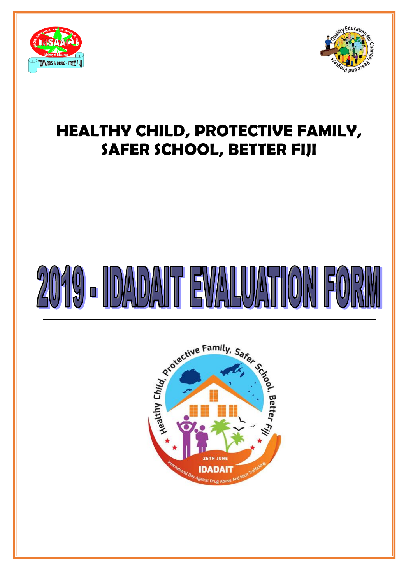

l



# **HEALTHY CHILD, PROTECTIVE FAMILY, SAFER SCHOOL, BETTER FIJI**

# $2(0)$   $(9)$  -  $||D||$   $||D||$   $||D||$ EWALUA

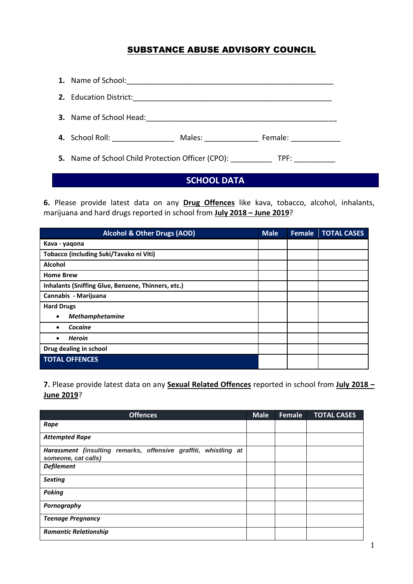### SUBSTANCE ABUSE ADVISORY COUNCIL

| 4. School Roll: _______________<br>Males: and the manufacturer<br>Female: __________ |  |
|--------------------------------------------------------------------------------------|--|
| 5. Name of School Child Protection Officer (CPO): TPF: TPF:                          |  |

## **SCHOOL DATA**

**6.** Please provide latest data on any **Drug Offences** like kava, tobacco, alcohol, inhalants, marijuana and hard drugs reported in school from **July 2018 – June 2019**?

| <b>Alcohol &amp; Other Drugs (AOD)</b>             | <b>Male</b> | Female | <b>TOTAL CASES</b> |
|----------------------------------------------------|-------------|--------|--------------------|
| Kava - yaqona                                      |             |        |                    |
| Tobacco (including Suki/Tavako ni Viti)            |             |        |                    |
| Alcohol                                            |             |        |                    |
| <b>Home Brew</b>                                   |             |        |                    |
| Inhalants (Sniffing Glue, Benzene, Thinners, etc.) |             |        |                    |
| Cannabis - Marijuana                               |             |        |                    |
| <b>Hard Drugs</b>                                  |             |        |                    |
| <b>Methamphetamine</b><br>٠                        |             |        |                    |
| Cocaine                                            |             |        |                    |
| <b>Heroin</b>                                      |             |        |                    |
| Drug dealing in school                             |             |        |                    |
| <b>TOTAL OFFENCES</b>                              |             |        |                    |

**7.** Please provide latest data on any **Sexual Related Offences** reported in school from **July 2018 – June 2019**?

| <b>Offences</b>                                                                        | <b>Male</b> | Female | <b>TOTAL CASES</b> |
|----------------------------------------------------------------------------------------|-------------|--------|--------------------|
| Rape                                                                                   |             |        |                    |
| <b>Attempted Rape</b>                                                                  |             |        |                    |
| Harassment (insulting remarks, offensive graffiti, whistling at<br>someone, cat calls) |             |        |                    |
| <b>Defilement</b>                                                                      |             |        |                    |
| <b>Sexting</b>                                                                         |             |        |                    |
| <b>Poking</b>                                                                          |             |        |                    |
| Pornography                                                                            |             |        |                    |
| <b>Teenage Pregnancy</b>                                                               |             |        |                    |
| <b>Romantic Relationship</b>                                                           |             |        |                    |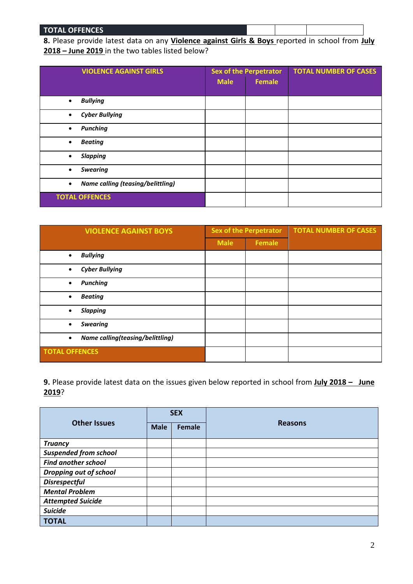#### **TOTAL OFFENCES**

**8.** Please provide latest data on any **Violence against Girls & Boys** reported in school from **July 2018 – June 2019** in the two tables listed below?

| <b>VIOLENCE AGAINST GIRLS</b>                         | <b>Sex of the Perpetrator</b> |               | <b>TOTAL NUMBER OF CASES</b> |
|-------------------------------------------------------|-------------------------------|---------------|------------------------------|
|                                                       | <b>Male</b>                   | <b>Female</b> |                              |
|                                                       |                               |               |                              |
| <b>Bullying</b><br>$\bullet$                          |                               |               |                              |
| <b>Cyber Bullying</b><br>$\bullet$                    |                               |               |                              |
| <b>Punching</b><br>$\bullet$                          |                               |               |                              |
| <b>Beating</b><br>$\bullet$                           |                               |               |                              |
| <b>Slapping</b><br>$\bullet$                          |                               |               |                              |
| <b>Swearing</b><br>$\bullet$                          |                               |               |                              |
| <b>Name calling (teasing/belittling)</b><br>$\bullet$ |                               |               |                              |
| <b>TOTAL OFFENCES</b>                                 |                               |               |                              |

| <b>VIOLENCE AGAINST BOYS</b>                  | <b>Sex of the Perpetrator</b> |               | <b>TOTAL NUMBER OF CASES</b> |
|-----------------------------------------------|-------------------------------|---------------|------------------------------|
|                                               | <b>Male</b>                   | <b>Female</b> |                              |
| <b>Bullying</b><br>$\bullet$                  |                               |               |                              |
| <b>Cyber Bullying</b><br>$\bullet$            |                               |               |                              |
| <b>Punching</b><br>$\bullet$                  |                               |               |                              |
| <b>Beating</b><br>$\bullet$                   |                               |               |                              |
| <b>Slapping</b>                               |                               |               |                              |
| <b>Swearing</b><br>$\bullet$                  |                               |               |                              |
| Name calling(teasing/belittling)<br>$\bullet$ |                               |               |                              |
| <b>TOTAL OFFENCES</b>                         |                               |               |                              |

**9.** Please provide latest data on the issues given below reported in school from **July 2018 – June 2019**?

|                              | <b>SEX</b>  |        |                |  |
|------------------------------|-------------|--------|----------------|--|
| <b>Other Issues</b>          | <b>Male</b> | Female | <b>Reasons</b> |  |
| <b>Truancy</b>               |             |        |                |  |
| <b>Suspended from school</b> |             |        |                |  |
| <b>Find another school</b>   |             |        |                |  |
| Dropping out of school       |             |        |                |  |
| <b>Disrespectful</b>         |             |        |                |  |
| <b>Mental Problem</b>        |             |        |                |  |
| <b>Attempted Suicide</b>     |             |        |                |  |
| <b>Suicide</b>               |             |        |                |  |
| <b>TOTAL</b>                 |             |        |                |  |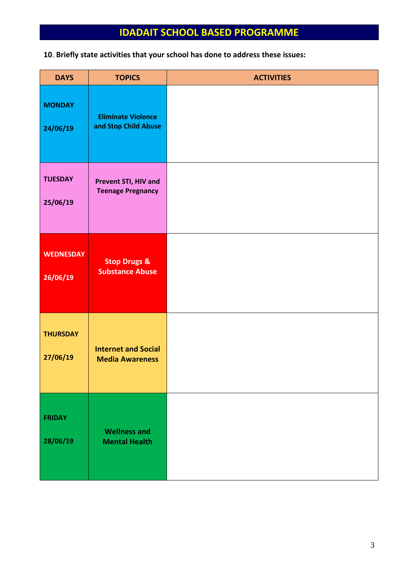# **IDADAIT SCHOOL BASED PROGRAMME**

**10**. **Briefly state activities that your school has done to address these issues:**

| <b>DAYS</b>                  | <b>TOPICS</b>                                        | <b>ACTIVITIES</b> |
|------------------------------|------------------------------------------------------|-------------------|
| <b>MONDAY</b><br>24/06/19    | <b>Eliminate Violence</b><br>and Stop Child Abuse    |                   |
| <b>TUESDAY</b><br>25/06/19   | Prevent STI, HIV and<br><b>Teenage Pregnancy</b>     |                   |
| <b>WEDNESDAY</b><br>26/06/19 | <b>Stop Drugs &amp;</b><br><b>Substance Abuse</b>    |                   |
| <b>THURSDAY</b><br>27/06/19  | <b>Internet and Social</b><br><b>Media Awareness</b> |                   |
| <b>FRIDAY</b><br>28/06/19    | <b>Wellness and</b><br><b>Mental Health</b>          |                   |